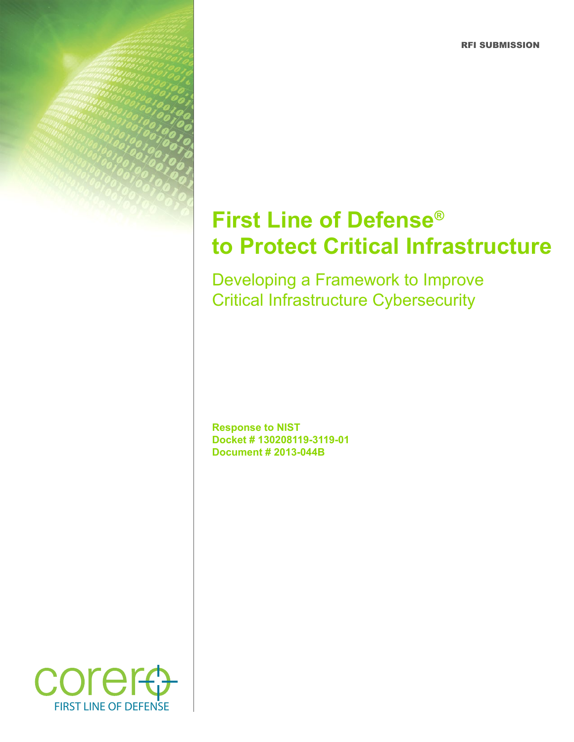RFI SUBMISSION

# **First Line of Defense® to Protect Critical Infrastructure**

Developing a Framework to Improve Critical Infrastructure Cybersecurity

**Response to NIST Docket # 130208119-3119-01 Document # 2013-044B**

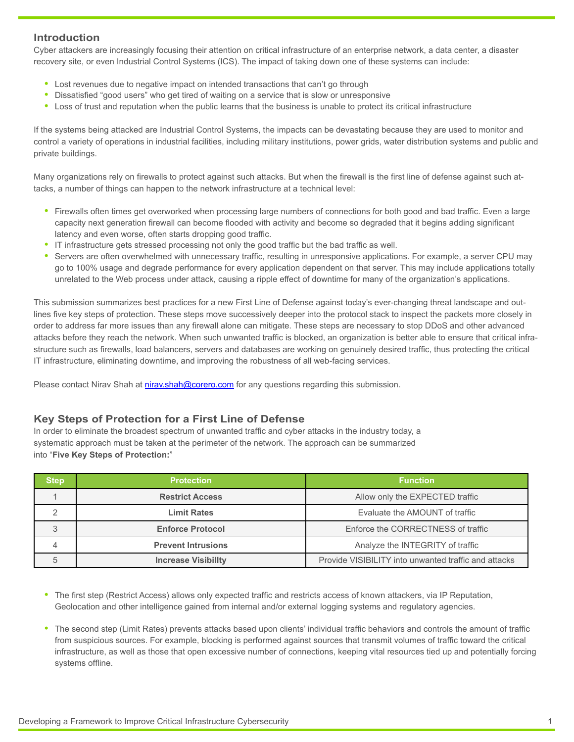## **Introduction**

Cyber attackers are increasingly focusing their attention on critical infrastructure of an enterprise network, a data center, a disaster recovery site, or even Industrial Control Systems (ICS). The impact of taking down one of these systems can include:

- Lost revenues due to negative impact on intended transactions that can't go through
- Dissatisfied "good users" who get tired of waiting on a service that is slow or unresponsive
- **•**  Loss of trust and reputation when the public learns that the business is unable to protect its critical infrastructure

If the systems being attacked are Industrial Control Systems, the impacts can be devastating because they are used to monitor and control a variety of operations in industrial facilities, including military institutions, power grids, water distribution systems and public and private buildings.

Many organizations rely on firewalls to protect against such attacks. But when the firewall is the first line of defense against such attacks, a number of things can happen to the network infrastructure at a technical level:

- Firewalls often times get overworked when processing large numbers of connections for both good and bad traffic. Even a large capacity next generation firewall can become flooded with activity and become so degraded that it begins adding significant latency and even worse, often starts dropping good traffic.
- **•**  IT infrastructure gets stressed processing not only the good traffic but the bad traffic as well.
- Servers are often overwhelmed with unnecessary traffic, resulting in unresponsive applications. For example, a server CPU may go to 100% usage and degrade performance for every application dependent on that server. This may include applications totally unrelated to the Web process under attack, causing a ripple effect of downtime for many of the organization's applications.

This submission summarizes best practices for a new First Line of Defense against today's ever-changing threat landscape and outlines five key steps of protection. These steps move successively deeper into the protocol stack to inspect the packets more closely in order to address far more issues than any firewall alone can mitigate. These steps are necessary to stop DDoS and other advanced attacks before they reach the network. When such unwanted traffic is blocked, an organization is better able to ensure that critical infrastructure such as firewalls, load balancers, servers and databases are working on genuinely desired traffic, thus protecting the critical IT infrastructure, eliminating downtime, and improving the robustness of all web-facing services.

Please contact Nirav Shah at [nirav.shah@corero.com](mailto:nirav.shah%40corero.com?subject=) for any questions regarding this submission.

## **Key Steps of Protection for a First Line of Defense**

In order to eliminate the broadest spectrum of unwanted traffic and cyber attacks in the industry today, a systematic approach must be taken at the perimeter of the network. The approach can be summarized into "**Five Key Steps of Protection:**"

| step | <b>Protection</b>          | <b>Function</b>                                      |
|------|----------------------------|------------------------------------------------------|
|      | <b>Restrict Access</b>     | Allow only the EXPECTED traffic                      |
|      | Limit Rates                | Evaluate the AMOUNT of traffic                       |
|      | <b>Enforce Protocol</b>    | Enforce the CORRECTNESS of traffic                   |
|      | <b>Prevent Intrusions</b>  | Analyze the INTEGRITY of traffic                     |
|      | <b>Increase Visibility</b> | Provide VISIBILITY into unwanted traffic and attacks |

- The first step (Restrict Access) allows only expected traffic and restricts access of known attackers, via IP Reputation, Geolocation and other intelligence gained from internal and/or external logging systems and regulatory agencies.
- **•**  The second step (Limit Rates) prevents attacks based upon clients' individual traffic behaviors and controls the amount of traffic from suspicious sources. For example, blocking is performed against sources that transmit volumes of traffic toward the critical infrastructure, as well as those that open excessive number of connections, keeping vital resources tied up and potentially forcing systems offline.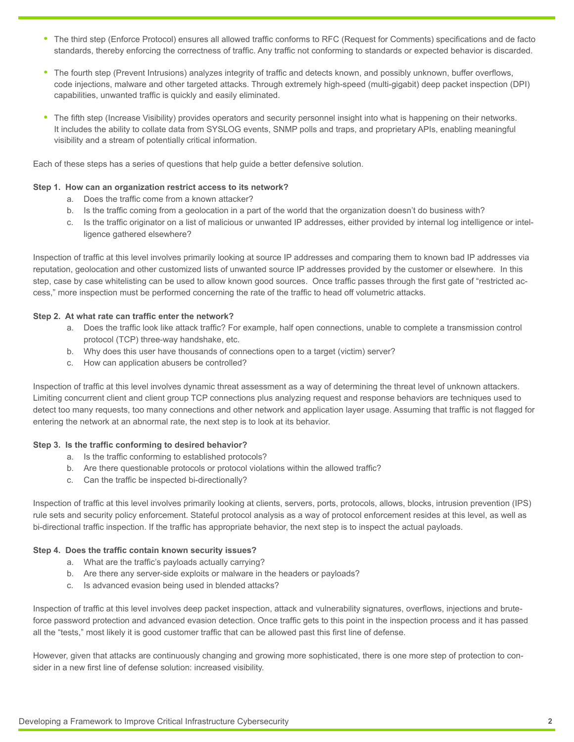- **•**  The third step (Enforce Protocol) ensures all allowed traffic conforms to RFC (Request for Comments) specifications and de facto standards, thereby enforcing the correctness of traffic. Any traffic not conforming to standards or expected behavior is discarded.
- **•**  The fourth step (Prevent Intrusions) analyzes integrity of traffic and detects known, and possibly unknown, buffer overflows, code injections, malware and other targeted attacks. Through extremely high-speed (multi-gigabit) deep packet inspection (DPI) capabilities, unwanted traffic is quickly and easily eliminated.
- The fifth step (Increase Visibility) provides operators and security personnel insight into what is happening on their networks. It includes the ability to collate data from SYSLOG events, SNMP polls and traps, and proprietary APIs, enabling meaningful visibility and a stream of potentially critical information.

Each of these steps has a series of questions that help guide a better defensive solution.

## **Step 1. How can an organization restrict access to its network?**

- a. Does the traffic come from a known attacker?
- b. Is the traffic coming from a geolocation in a part of the world that the organization doesn't do business with?
- c. Is the traffic originator on a list of malicious or unwanted IP addresses, either provided by internal log intelligence or intelligence gathered elsewhere?

Inspection of traffic at this level involves primarily looking at source IP addresses and comparing them to known bad IP addresses via reputation, geolocation and other customized lists of unwanted source IP addresses provided by the customer or elsewhere. In this step, case by case whitelisting can be used to allow known good sources. Once traffic passes through the first gate of "restricted access," more inspection must be performed concerning the rate of the traffic to head off volumetric attacks.

### **Step 2. At what rate can traffic enter the network?**

- a. Does the traffic look like attack traffic? For example, half open connections, unable to complete a transmission control protocol (TCP) three-way handshake, etc.
- b. Why does this user have thousands of connections open to a target (victim) server?
- c. How can application abusers be controlled?

Inspection of traffic at this level involves dynamic threat assessment as a way of determining the threat level of unknown attackers. Limiting concurrent client and client group TCP connections plus analyzing request and response behaviors are techniques used to detect too many requests, too many connections and other network and application layer usage. Assuming that traffic is not flagged for entering the network at an abnormal rate, the next step is to look at its behavior.

#### **Step 3. Is the traffic conforming to desired behavior?**

- a. Is the traffic conforming to established protocols?
- b. Are there questionable protocols or protocol violations within the allowed traffic?
- c. Can the traffic be inspected bi-directionally?

Inspection of traffic at this level involves primarily looking at clients, servers, ports, protocols, allows, blocks, intrusion prevention (IPS) rule sets and security policy enforcement. Stateful protocol analysis as a way of protocol enforcement resides at this level, as well as bi-directional traffic inspection. If the traffic has appropriate behavior, the next step is to inspect the actual payloads.

#### **Step 4. Does the traffic contain known security issues?**

- a. What are the traffic's payloads actually carrying?
- b. Are there any server-side exploits or malware in the headers or payloads?
- c. Is advanced evasion being used in blended attacks?

Inspection of traffic at this level involves deep packet inspection, attack and vulnerability signatures, overflows, injections and bruteforce password protection and advanced evasion detection. Once traffic gets to this point in the inspection process and it has passed all the "tests," most likely it is good customer traffic that can be allowed past this first line of defense.

However, given that attacks are continuously changing and growing more sophisticated, there is one more step of protection to consider in a new first line of defense solution: increased visibility.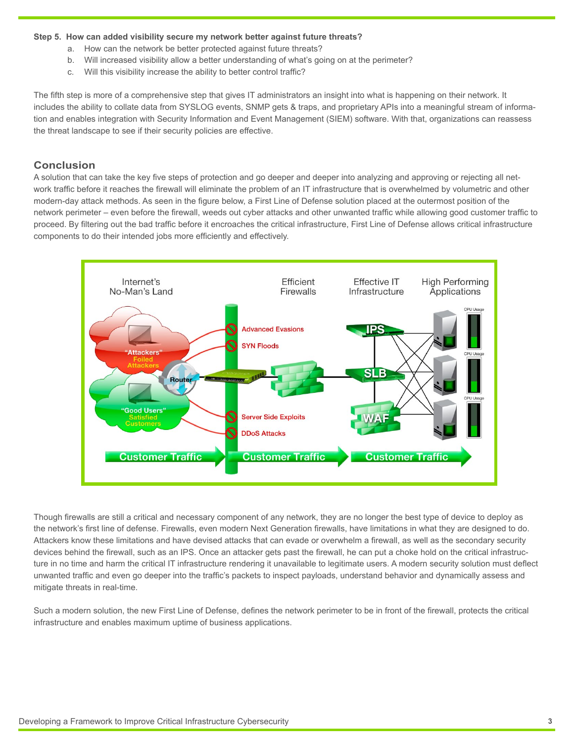#### **Step 5. How can added visibility secure my network better against future threats?**

- a. How can the network be better protected against future threats?
- b. Will increased visibility allow a better understanding of what's going on at the perimeter?
- c. Will this visibility increase the ability to better control traffic?

The fifth step is more of a comprehensive step that gives IT administrators an insight into what is happening on their network. It includes the ability to collate data from SYSLOG events, SNMP gets & traps, and proprietary APIs into a meaningful stream of information and enables integration with Security Information and Event Management (SIEM) software. With that, organizations can reassess the threat landscape to see if their security policies are effective.

## **Conclusion**

A solution that can take the key five steps of protection and go deeper and deeper into analyzing and approving or rejecting all network traffic before it reaches the firewall will eliminate the problem of an IT infrastructure that is overwhelmed by volumetric and other modern-day attack methods. As seen in the figure below, a First Line of Defense solution placed at the outermost position of the network perimeter – even before the firewall, weeds out cyber attacks and other unwanted traffic while allowing good customer traffic to proceed. By filtering out the bad traffic before it encroaches the critical infrastructure, First Line of Defense allows critical infrastructure components to do their intended jobs more efficiently and effectively.



Though firewalls are still a critical and necessary component of any network, they are no longer the best type of device to deploy as the network's first line of defense. Firewalls, even modern Next Generation firewalls, have limitations in what they are designed to do. Attackers know these limitations and have devised attacks that can evade or overwhelm a firewall, as well as the secondary security devices behind the firewall, such as an IPS. Once an attacker gets past the firewall, he can put a choke hold on the critical infrastructure in no time and harm the critical IT infrastructure rendering it unavailable to legitimate users. A modern security solution must deflect unwanted traffic and even go deeper into the traffic's packets to inspect payloads, understand behavior and dynamically assess and mitigate threats in real-time.

Such a modern solution, the new First Line of Defense, defines the network perimeter to be in front of the firewall, protects the critical infrastructure and enables maximum uptime of business applications.